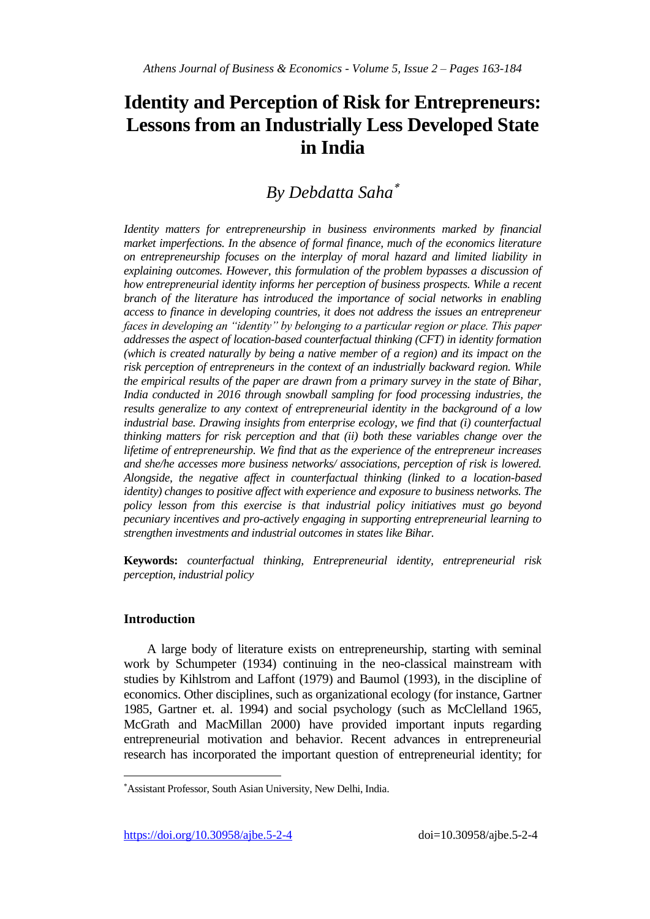# **Identity and Perception of Risk for Entrepreneurs: Lessons from an Industrially Less Developed State in India**

## *By Debdatta Saha*

*Identity matters for entrepreneurship in business environments marked by financial market imperfections. In the absence of formal finance, much of the economics literature on entrepreneurship focuses on the interplay of moral hazard and limited liability in explaining outcomes. However, this formulation of the problem bypasses a discussion of how entrepreneurial identity informs her perception of business prospects. While a recent branch of the literature has introduced the importance of social networks in enabling access to finance in developing countries, it does not address the issues an entrepreneur faces in developing an "identity" by belonging to a particular region or place. This paper addresses the aspect of location-based counterfactual thinking (CFT) in identity formation (which is created naturally by being a native member of a region) and its impact on the risk perception of entrepreneurs in the context of an industrially backward region. While the empirical results of the paper are drawn from a primary survey in the state of Bihar, India conducted in 2016 through snowball sampling for food processing industries, the results generalize to any context of entrepreneurial identity in the background of a low industrial base. Drawing insights from enterprise ecology, we find that (i) counterfactual thinking matters for risk perception and that (ii) both these variables change over the lifetime of entrepreneurship. We find that as the experience of the entrepreneur increases and she/he accesses more business networks/ associations, perception of risk is lowered. Alongside, the negative affect in counterfactual thinking (linked to a location-based identity*) changes to positive affect with experience and exposure to business networks. The *policy lesson from this exercise is that industrial policy initiatives must go beyond pecuniary incentives and pro-actively engaging in supporting entrepreneurial learning to strengthen investments and industrial outcomes in states like Bihar.*

**Keywords:** *counterfactual thinking, Entrepreneurial identity, entrepreneurial risk perception, industrial policy*

## **Introduction**

 $\overline{a}$ 

A large body of literature exists on entrepreneurship, starting with seminal work by Schumpeter (1934) continuing in the neo-classical mainstream with studies by Kihlstrom and Laffont (1979) and Baumol (1993), in the discipline of economics. Other disciplines, such as organizational ecology (for instance, Gartner 1985, Gartner et. al. 1994) and social psychology (such as McClelland 1965, McGrath and MacMillan 2000) have provided important inputs regarding entrepreneurial motivation and behavior. Recent advances in entrepreneurial research has incorporated the important question of entrepreneurial identity; for

Assistant Professor, South Asian University, New Delhi, India.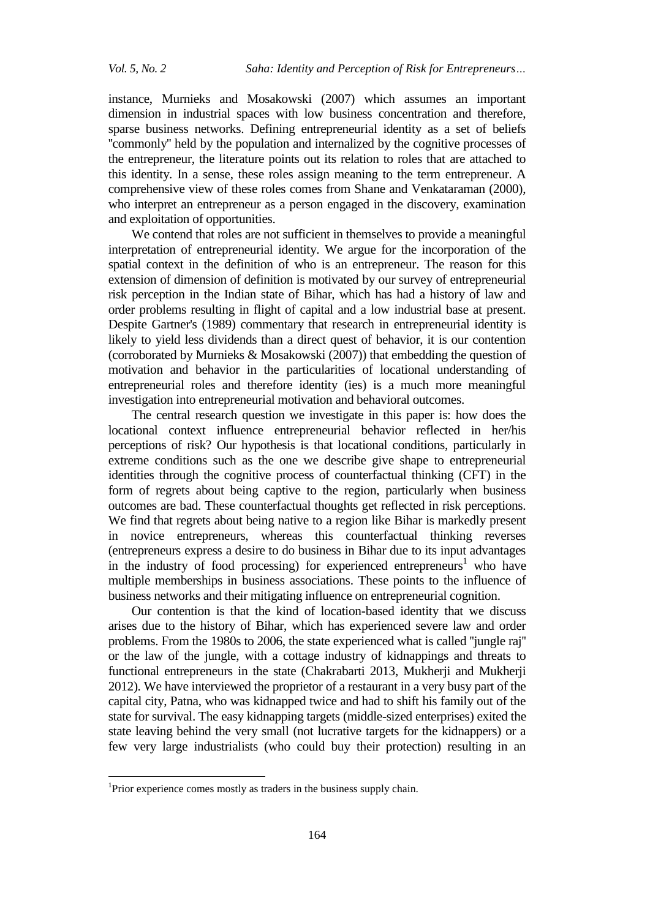instance, Murnieks and Mosakowski (2007) which assumes an important dimension in industrial spaces with low business concentration and therefore, sparse business networks. Defining entrepreneurial identity as a set of beliefs ''commonly'' held by the population and internalized by the cognitive processes of the entrepreneur, the literature points out its relation to roles that are attached to this identity. In a sense, these roles assign meaning to the term entrepreneur. A comprehensive view of these roles comes from Shane and Venkataraman (2000), who interpret an entrepreneur as a person engaged in the discovery, examination and exploitation of opportunities.

We contend that roles are not sufficient in themselves to provide a meaningful interpretation of entrepreneurial identity. We argue for the incorporation of the spatial context in the definition of who is an entrepreneur. The reason for this extension of dimension of definition is motivated by our survey of entrepreneurial risk perception in the Indian state of Bihar, which has had a history of law and order problems resulting in flight of capital and a low industrial base at present. Despite Gartner's (1989) commentary that research in entrepreneurial identity is likely to yield less dividends than a direct quest of behavior, it is our contention (corroborated by Murnieks & Mosakowski (2007)) that embedding the question of motivation and behavior in the particularities of locational understanding of entrepreneurial roles and therefore identity (ies) is a much more meaningful investigation into entrepreneurial motivation and behavioral outcomes.

The central research question we investigate in this paper is: how does the locational context influence entrepreneurial behavior reflected in her/his perceptions of risk? Our hypothesis is that locational conditions, particularly in extreme conditions such as the one we describe give shape to entrepreneurial identities through the cognitive process of counterfactual thinking (CFT) in the form of regrets about being captive to the region, particularly when business outcomes are bad. These counterfactual thoughts get reflected in risk perceptions. We find that regrets about being native to a region like Bihar is markedly present in novice entrepreneurs, whereas this counterfactual thinking reverses (entrepreneurs express a desire to do business in Bihar due to its input advantages in the industry of food processing) for experienced entrepreneurs<sup>1</sup> who have multiple memberships in business associations. These points to the influence of business networks and their mitigating influence on entrepreneurial cognition.

Our contention is that the kind of location-based identity that we discuss arises due to the history of Bihar, which has experienced severe law and order problems. From the 1980s to 2006, the state experienced what is called ''jungle raj'' or the law of the jungle, with a cottage industry of kidnappings and threats to functional entrepreneurs in the state (Chakrabarti 2013, Mukherji and Mukherji 2012). We have interviewed the proprietor of a restaurant in a very busy part of the capital city, Patna, who was kidnapped twice and had to shift his family out of the state for survival. The easy kidnapping targets (middle-sized enterprises) exited the state leaving behind the very small (not lucrative targets for the kidnappers) or a few very large industrialists (who could buy their protection) resulting in an

 $\overline{a}$ 

<sup>&</sup>lt;sup>1</sup>Prior experience comes mostly as traders in the business supply chain.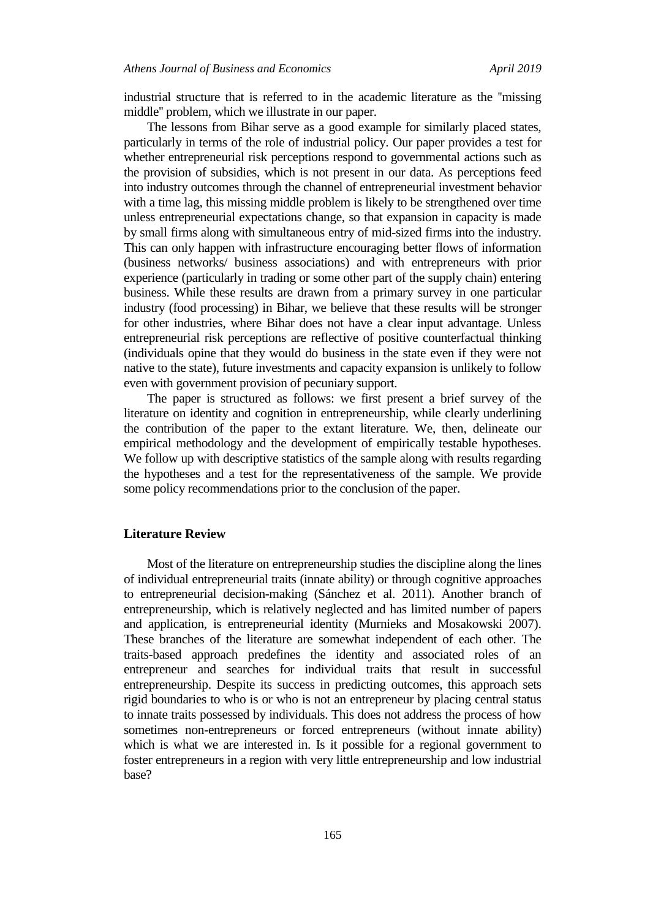industrial structure that is referred to in the academic literature as the ''missing middle'' problem, which we illustrate in our paper.

The lessons from Bihar serve as a good example for similarly placed states, particularly in terms of the role of industrial policy. Our paper provides a test for whether entrepreneurial risk perceptions respond to governmental actions such as the provision of subsidies, which is not present in our data. As perceptions feed into industry outcomes through the channel of entrepreneurial investment behavior with a time lag, this missing middle problem is likely to be strengthened over time unless entrepreneurial expectations change, so that expansion in capacity is made by small firms along with simultaneous entry of mid-sized firms into the industry. This can only happen with infrastructure encouraging better flows of information (business networks/ business associations) and with entrepreneurs with prior experience (particularly in trading or some other part of the supply chain) entering business. While these results are drawn from a primary survey in one particular industry (food processing) in Bihar, we believe that these results will be stronger for other industries, where Bihar does not have a clear input advantage. Unless entrepreneurial risk perceptions are reflective of positive counterfactual thinking (individuals opine that they would do business in the state even if they were not native to the state), future investments and capacity expansion is unlikely to follow even with government provision of pecuniary support.

The paper is structured as follows: we first present a brief survey of the literature on identity and cognition in entrepreneurship, while clearly underlining the contribution of the paper to the extant literature. We, then, delineate our empirical methodology and the development of empirically testable hypotheses. We follow up with descriptive statistics of the sample along with results regarding the hypotheses and a test for the representativeness of the sample. We provide some policy recommendations prior to the conclusion of the paper.

## **Literature Review**

Most of the literature on entrepreneurship studies the discipline along the lines of individual entrepreneurial traits (innate ability) or through cognitive approaches to entrepreneurial decision-making (Sánchez et al. 2011). Another branch of entrepreneurship, which is relatively neglected and has limited number of papers and application, is entrepreneurial identity (Murnieks and Mosakowski 2007). These branches of the literature are somewhat independent of each other. The traits-based approach predefines the identity and associated roles of an entrepreneur and searches for individual traits that result in successful entrepreneurship. Despite its success in predicting outcomes, this approach sets rigid boundaries to who is or who is not an entrepreneur by placing central status to innate traits possessed by individuals. This does not address the process of how sometimes non-entrepreneurs or forced entrepreneurs (without innate ability) which is what we are interested in. Is it possible for a regional government to foster entrepreneurs in a region with very little entrepreneurship and low industrial base?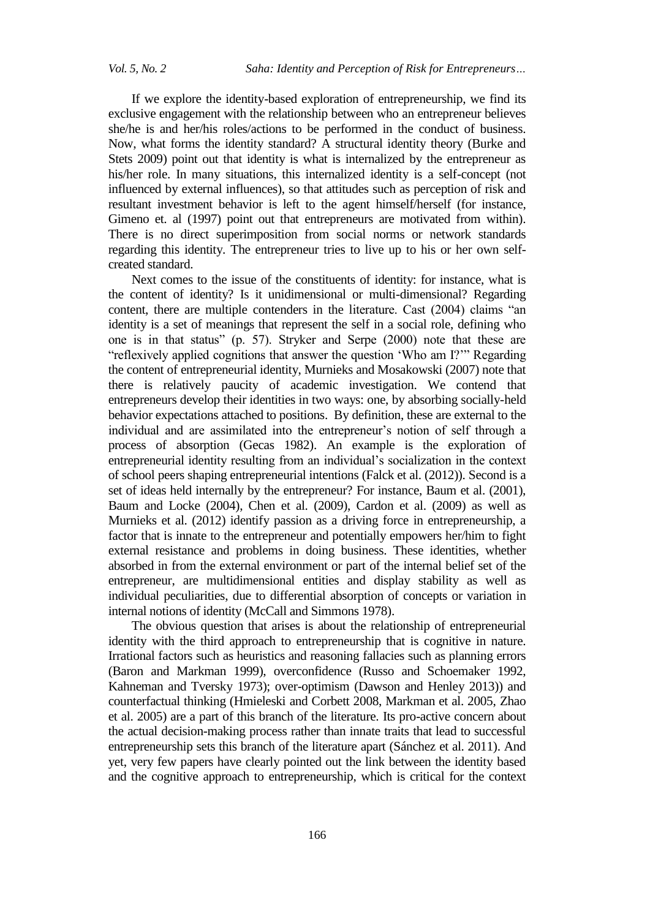If we explore the identity-based exploration of entrepreneurship, we find its exclusive engagement with the relationship between who an entrepreneur believes she/he is and her/his roles/actions to be performed in the conduct of business. Now, what forms the identity standard? A structural identity theory (Burke and Stets 2009) point out that identity is what is internalized by the entrepreneur as his/her role. In many situations, this internalized identity is a self-concept (not influenced by external influences), so that attitudes such as perception of risk and resultant investment behavior is left to the agent himself/herself (for instance, Gimeno et. al (1997) point out that entrepreneurs are motivated from within). There is no direct superimposition from social norms or network standards regarding this identity. The entrepreneur tries to live up to his or her own selfcreated standard.

Next comes to the issue of the constituents of identity: for instance, what is the content of identity? Is it unidimensional or multi-dimensional? Regarding content, there are multiple contenders in the literature. Cast (2004) claims "an identity is a set of meanings that represent the self in a social role, defining who one is in that status" (p. 57). Stryker and Serpe (2000) note that these are "reflexively applied cognitions that answer the question "Who am I?"" Regarding the content of entrepreneurial identity, Murnieks and Mosakowski (2007) note that there is relatively paucity of academic investigation. We contend that entrepreneurs develop their identities in two ways: one, by absorbing socially-held behavior expectations attached to positions. By definition, these are external to the individual and are assimilated into the entrepreneur's notion of self through a process of absorption (Gecas 1982). An example is the exploration of entrepreneurial identity resulting from an individual"s socialization in the context of school peers shaping entrepreneurial intentions (Falck et al. (2012)). Second is a set of ideas held internally by the entrepreneur? For instance, Baum et al. (2001), Baum and Locke (2004), Chen et al. (2009), Cardon et al. (2009) as well as Murnieks et al. (2012) identify passion as a driving force in entrepreneurship, a factor that is innate to the entrepreneur and potentially empowers her/him to fight external resistance and problems in doing business. These identities, whether absorbed in from the external environment or part of the internal belief set of the entrepreneur, are multidimensional entities and display stability as well as individual peculiarities, due to differential absorption of concepts or variation in internal notions of identity (McCall and Simmons 1978).

The obvious question that arises is about the relationship of entrepreneurial identity with the third approach to entrepreneurship that is cognitive in nature. Irrational factors such as heuristics and reasoning fallacies such as planning errors (Baron and Markman 1999), overconfidence (Russo and Schoemaker 1992, Kahneman and Tversky 1973); over-optimism (Dawson and Henley 2013)) and counterfactual thinking (Hmieleski and Corbett 2008, Markman et al. 2005, Zhao et al. 2005) are a part of this branch of the literature. Its pro-active concern about the actual decision-making process rather than innate traits that lead to successful entrepreneurship sets this branch of the literature apart (Sánchez et al. 2011). And yet, very few papers have clearly pointed out the link between the identity based and the cognitive approach to entrepreneurship, which is critical for the context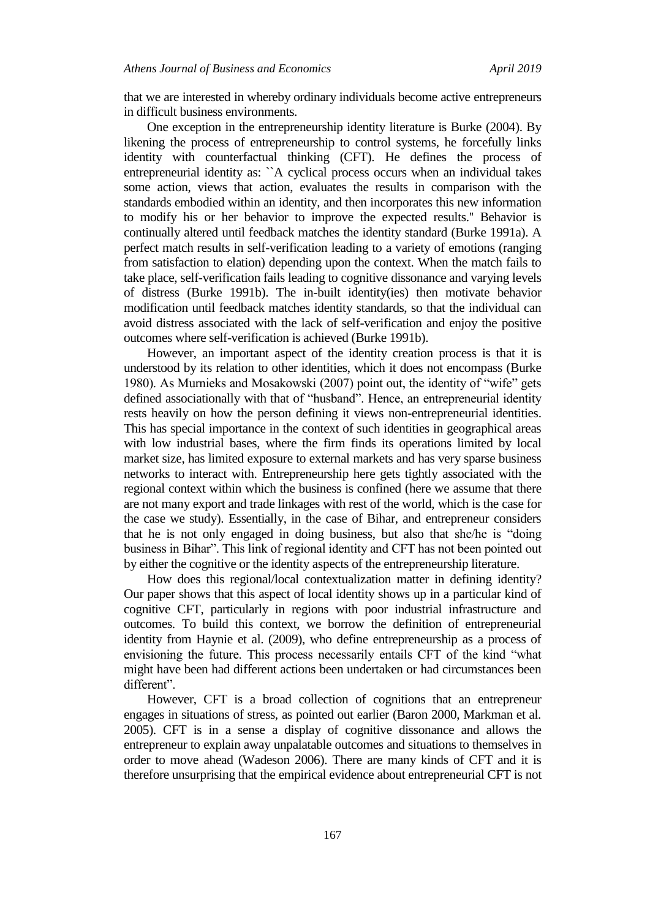that we are interested in whereby ordinary individuals become active entrepreneurs in difficult business environments.

One exception in the entrepreneurship identity literature is Burke (2004). By likening the process of entrepreneurship to control systems, he forcefully links identity with counterfactual thinking (CFT). He defines the process of entrepreneurial identity as: ``A cyclical process occurs when an individual takes some action, views that action, evaluates the results in comparison with the standards embodied within an identity, and then incorporates this new information to modify his or her behavior to improve the expected results.'' Behavior is continually altered until feedback matches the identity standard (Burke 1991a). A perfect match results in self-verification leading to a variety of emotions (ranging from satisfaction to elation) depending upon the context. When the match fails to take place, self-verification fails leading to cognitive dissonance and varying levels of distress (Burke 1991b). The in-built identity(ies) then motivate behavior modification until feedback matches identity standards, so that the individual can avoid distress associated with the lack of self-verification and enjoy the positive outcomes where self-verification is achieved (Burke 1991b).

However, an important aspect of the identity creation process is that it is understood by its relation to other identities, which it does not encompass (Burke 1980). As Murnieks and Mosakowski (2007) point out, the identity of "wife" gets defined associationally with that of "husband". Hence, an entrepreneurial identity rests heavily on how the person defining it views non-entrepreneurial identities. This has special importance in the context of such identities in geographical areas with low industrial bases, where the firm finds its operations limited by local market size, has limited exposure to external markets and has very sparse business networks to interact with. Entrepreneurship here gets tightly associated with the regional context within which the business is confined (here we assume that there are not many export and trade linkages with rest of the world, which is the case for the case we study). Essentially, in the case of Bihar, and entrepreneur considers that he is not only engaged in doing business, but also that she/he is "doing business in Bihar". This link of regional identity and CFT has not been pointed out by either the cognitive or the identity aspects of the entrepreneurship literature.

How does this regional/local contextualization matter in defining identity? Our paper shows that this aspect of local identity shows up in a particular kind of cognitive CFT, particularly in regions with poor industrial infrastructure and outcomes. To build this context, we borrow the definition of entrepreneurial identity from Haynie et al. (2009), who define entrepreneurship as a process of envisioning the future. This process necessarily entails CFT of the kind "what might have been had different actions been undertaken or had circumstances been different".

However, CFT is a broad collection of cognitions that an entrepreneur engages in situations of stress, as pointed out earlier (Baron 2000, Markman et al. 2005). CFT is in a sense a display of cognitive dissonance and allows the entrepreneur to explain away unpalatable outcomes and situations to themselves in order to move ahead (Wadeson 2006). There are many kinds of CFT and it is therefore unsurprising that the empirical evidence about entrepreneurial CFT is not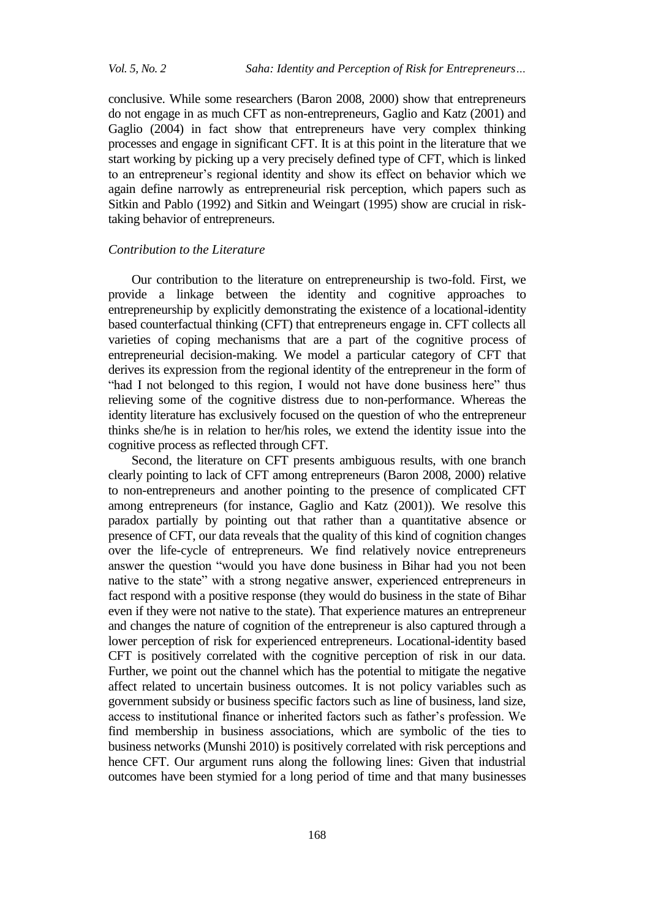conclusive. While some researchers (Baron 2008, 2000) show that entrepreneurs do not engage in as much CFT as non-entrepreneurs, Gaglio and Katz (2001) and Gaglio (2004) in fact show that entrepreneurs have very complex thinking processes and engage in significant CFT. It is at this point in the literature that we start working by picking up a very precisely defined type of CFT, which is linked to an entrepreneur"s regional identity and show its effect on behavior which we again define narrowly as entrepreneurial risk perception, which papers such as Sitkin and Pablo (1992) and Sitkin and Weingart (1995) show are crucial in risktaking behavior of entrepreneurs.

## *Contribution to the Literature*

Our contribution to the literature on entrepreneurship is two-fold. First, we provide a linkage between the identity and cognitive approaches to entrepreneurship by explicitly demonstrating the existence of a locational-identity based counterfactual thinking (CFT) that entrepreneurs engage in. CFT collects all varieties of coping mechanisms that are a part of the cognitive process of entrepreneurial decision-making. We model a particular category of CFT that derives its expression from the regional identity of the entrepreneur in the form of "had I not belonged to this region, I would not have done business here" thus relieving some of the cognitive distress due to non-performance. Whereas the identity literature has exclusively focused on the question of who the entrepreneur thinks she/he is in relation to her/his roles, we extend the identity issue into the cognitive process as reflected through CFT.

Second, the literature on CFT presents ambiguous results, with one branch clearly pointing to lack of CFT among entrepreneurs (Baron 2008, 2000) relative to non-entrepreneurs and another pointing to the presence of complicated CFT among entrepreneurs (for instance, Gaglio and Katz (2001)). We resolve this paradox partially by pointing out that rather than a quantitative absence or presence of CFT, our data reveals that the quality of this kind of cognition changes over the life-cycle of entrepreneurs. We find relatively novice entrepreneurs answer the question "would you have done business in Bihar had you not been native to the state" with a strong negative answer, experienced entrepreneurs in fact respond with a positive response (they would do business in the state of Bihar even if they were not native to the state). That experience matures an entrepreneur and changes the nature of cognition of the entrepreneur is also captured through a lower perception of risk for experienced entrepreneurs. Locational-identity based CFT is positively correlated with the cognitive perception of risk in our data. Further, we point out the channel which has the potential to mitigate the negative affect related to uncertain business outcomes. It is not policy variables such as government subsidy or business specific factors such as line of business, land size, access to institutional finance or inherited factors such as father"s profession. We find membership in business associations, which are symbolic of the ties to business networks (Munshi 2010) is positively correlated with risk perceptions and hence CFT. Our argument runs along the following lines: Given that industrial outcomes have been stymied for a long period of time and that many businesses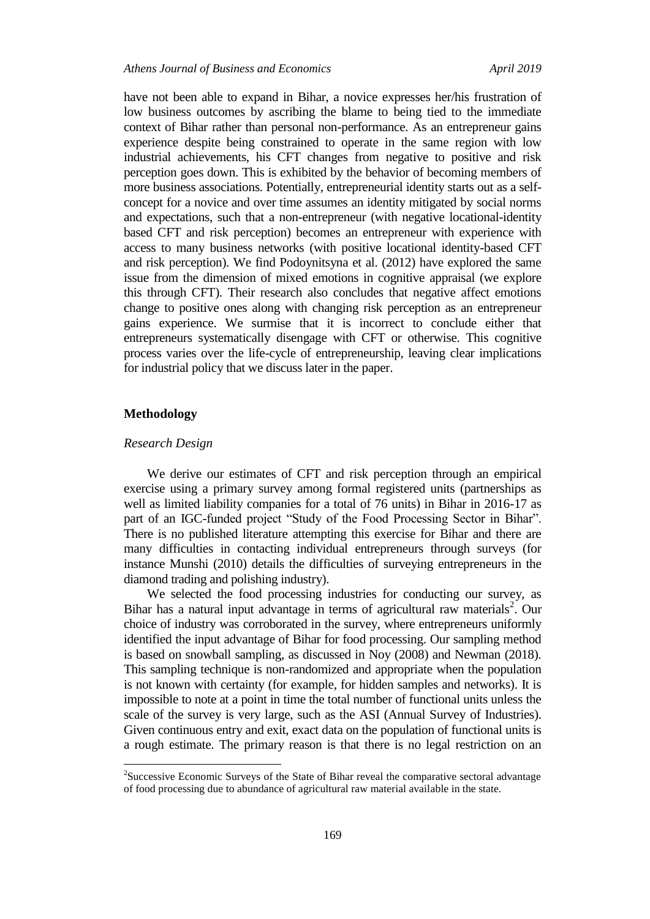have not been able to expand in Bihar, a novice expresses her/his frustration of low business outcomes by ascribing the blame to being tied to the immediate context of Bihar rather than personal non-performance. As an entrepreneur gains experience despite being constrained to operate in the same region with low industrial achievements, his CFT changes from negative to positive and risk perception goes down. This is exhibited by the behavior of becoming members of more business associations. Potentially, entrepreneurial identity starts out as a selfconcept for a novice and over time assumes an identity mitigated by social norms and expectations, such that a non-entrepreneur (with negative locational-identity based CFT and risk perception) becomes an entrepreneur with experience with access to many business networks (with positive locational identity-based CFT and risk perception). We find Podoynitsyna et al. (2012) have explored the same issue from the dimension of mixed emotions in cognitive appraisal (we explore this through CFT). Their research also concludes that negative affect emotions change to positive ones along with changing risk perception as an entrepreneur gains experience. We surmise that it is incorrect to conclude either that entrepreneurs systematically disengage with CFT or otherwise. This cognitive process varies over the life-cycle of entrepreneurship, leaving clear implications for industrial policy that we discuss later in the paper.

## **Methodology**

l

#### *Research Design*

We derive our estimates of CFT and risk perception through an empirical exercise using a primary survey among formal registered units (partnerships as well as limited liability companies for a total of 76 units) in Bihar in 2016-17 as part of an IGC-funded project "Study of the Food Processing Sector in Bihar". There is no published literature attempting this exercise for Bihar and there are many difficulties in contacting individual entrepreneurs through surveys (for instance Munshi (2010) details the difficulties of surveying entrepreneurs in the diamond trading and polishing industry).

We selected the food processing industries for conducting our survey, as Bihar has a natural input advantage in terms of agricultural raw materials<sup>2</sup>. Our choice of industry was corroborated in the survey, where entrepreneurs uniformly identified the input advantage of Bihar for food processing. Our sampling method is based on snowball sampling, as discussed in Noy (2008) and Newman (2018). This sampling technique is non-randomized and appropriate when the population is not known with certainty (for example, for hidden samples and networks). It is impossible to note at a point in time the total number of functional units unless the scale of the survey is very large, such as the ASI (Annual Survey of Industries). Given continuous entry and exit, exact data on the population of functional units is a rough estimate. The primary reason is that there is no legal restriction on an

<sup>&</sup>lt;sup>2</sup>Successive Economic Surveys of the State of Bihar reveal the comparative sectoral advantage of food processing due to abundance of agricultural raw material available in the state.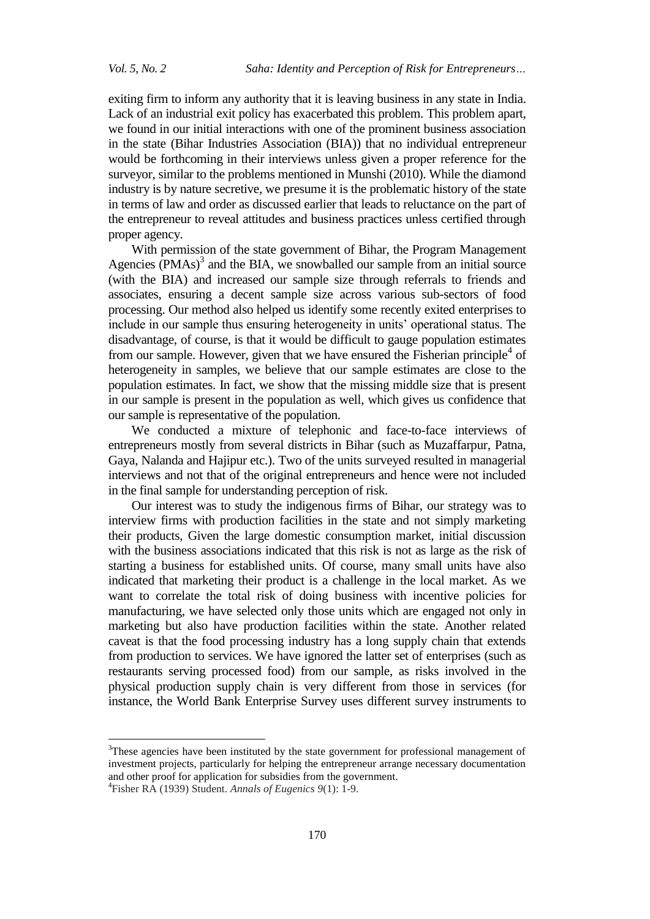exiting firm to inform any authority that it is leaving business in any state in India. Lack of an industrial exit policy has exacerbated this problem. This problem apart, we found in our initial interactions with one of the prominent business association in the state (Bihar Industries Association (BIA)) that no individual entrepreneur would be forthcoming in their interviews unless given a proper reference for the surveyor, similar to the problems mentioned in Munshi (2010). While the diamond industry is by nature secretive, we presume it is the problematic history of the state in terms of law and order as discussed earlier that leads to reluctance on the part of the entrepreneur to reveal attitudes and business practices unless certified through proper agency.

With permission of the state government of Bihar, the Program Management Agencies  $(PMAs)$ <sup>3</sup> and the BIA, we snowballed our sample from an initial source (with the BIA) and increased our sample size through referrals to friends and associates, ensuring a decent sample size across various sub-sectors of food processing. Our method also helped us identify some recently exited enterprises to include in our sample thus ensuring heterogeneity in units' operational status. The disadvantage, of course, is that it would be difficult to gauge population estimates from our sample. However, given that we have ensured the Fisherian principle<sup>4</sup> of heterogeneity in samples, we believe that our sample estimates are close to the population estimates. In fact, we show that the missing middle size that is present in our sample is present in the population as well, which gives us confidence that our sample is representative of the population.

We conducted a mixture of telephonic and face-to-face interviews of entrepreneurs mostly from several districts in Bihar (such as Muzaffarpur, Patna, Gaya, Nalanda and Hajipur etc.). Two of the units surveyed resulted in managerial interviews and not that of the original entrepreneurs and hence were not included in the final sample for understanding perception of risk.

Our interest was to study the indigenous firms of Bihar, our strategy was to interview firms with production facilities in the state and not simply marketing their products, Given the large domestic consumption market, initial discussion with the business associations indicated that this risk is not as large as the risk of starting a business for established units. Of course, many small units have also indicated that marketing their product is a challenge in the local market. As we want to correlate the total risk of doing business with incentive policies for manufacturing, we have selected only those units which are engaged not only in marketing but also have production facilities within the state. Another related caveat is that the food processing industry has a long supply chain that extends from production to services. We have ignored the latter set of enterprises (such as restaurants serving processed food) from our sample, as risks involved in the physical production supply chain is very different from those in services (for instance, the World Bank Enterprise Survey uses different survey instruments to

 $\overline{a}$ 

<sup>&</sup>lt;sup>3</sup>These agencies have been instituted by the state government for professional management of investment projects, particularly for helping the entrepreneur arrange necessary documentation and other proof for application for subsidies from the government.

<sup>4</sup> Fisher RA (1939) Student. *Annals of Eugenics 9*(1): 1-9.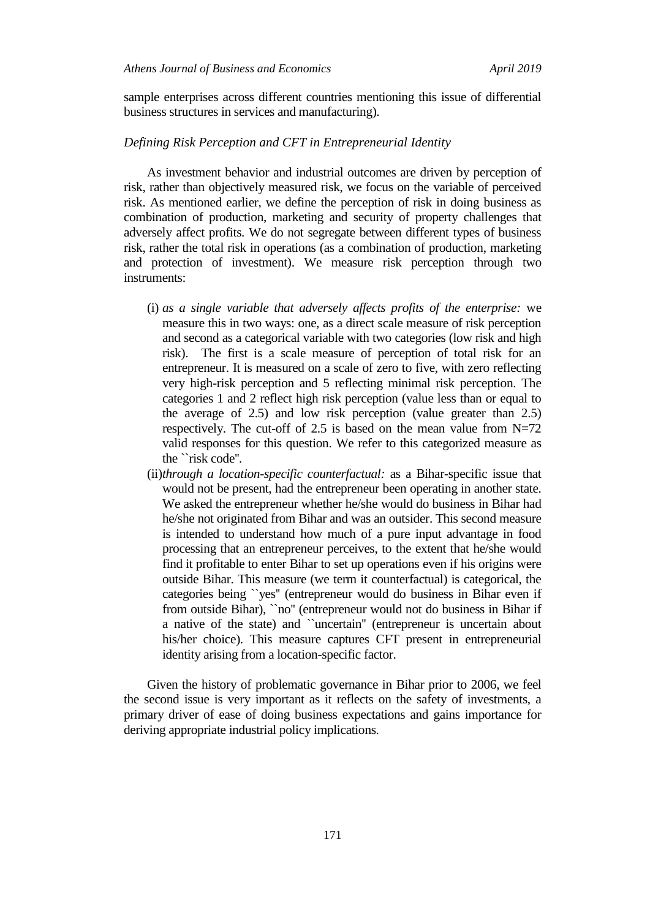sample enterprises across different countries mentioning this issue of differential business structures in services and manufacturing).

#### *Defining Risk Perception and CFT in Entrepreneurial Identity*

As investment behavior and industrial outcomes are driven by perception of risk, rather than objectively measured risk, we focus on the variable of perceived risk. As mentioned earlier, we define the perception of risk in doing business as combination of production, marketing and security of property challenges that adversely affect profits. We do not segregate between different types of business risk, rather the total risk in operations (as a combination of production, marketing and protection of investment). We measure risk perception through two instruments:

- (i) *as a single variable that adversely affects profits of the enterprise:* we measure this in two ways: one, as a direct scale measure of risk perception and second as a categorical variable with two categories (low risk and high risk). The first is a scale measure of perception of total risk for an entrepreneur. It is measured on a scale of zero to five, with zero reflecting very high-risk perception and 5 reflecting minimal risk perception. The categories 1 and 2 reflect high risk perception (value less than or equal to the average of 2.5) and low risk perception (value greater than 2.5) respectively. The cut-off of 2.5 is based on the mean value from  $N=72$ valid responses for this question. We refer to this categorized measure as the ``risk code''.
- (ii)*through a location-specific counterfactual:* as a Bihar-specific issue that would not be present, had the entrepreneur been operating in another state. We asked the entrepreneur whether he/she would do business in Bihar had he/she not originated from Bihar and was an outsider. This second measure is intended to understand how much of a pure input advantage in food processing that an entrepreneur perceives, to the extent that he/she would find it profitable to enter Bihar to set up operations even if his origins were outside Bihar. This measure (we term it counterfactual) is categorical, the categories being ``yes'' (entrepreneur would do business in Bihar even if from outside Bihar), ``no'' (entrepreneur would not do business in Bihar if a native of the state) and ``uncertain'' (entrepreneur is uncertain about his/her choice). This measure captures CFT present in entrepreneurial identity arising from a location-specific factor.

Given the history of problematic governance in Bihar prior to 2006, we feel the second issue is very important as it reflects on the safety of investments, a primary driver of ease of doing business expectations and gains importance for deriving appropriate industrial policy implications.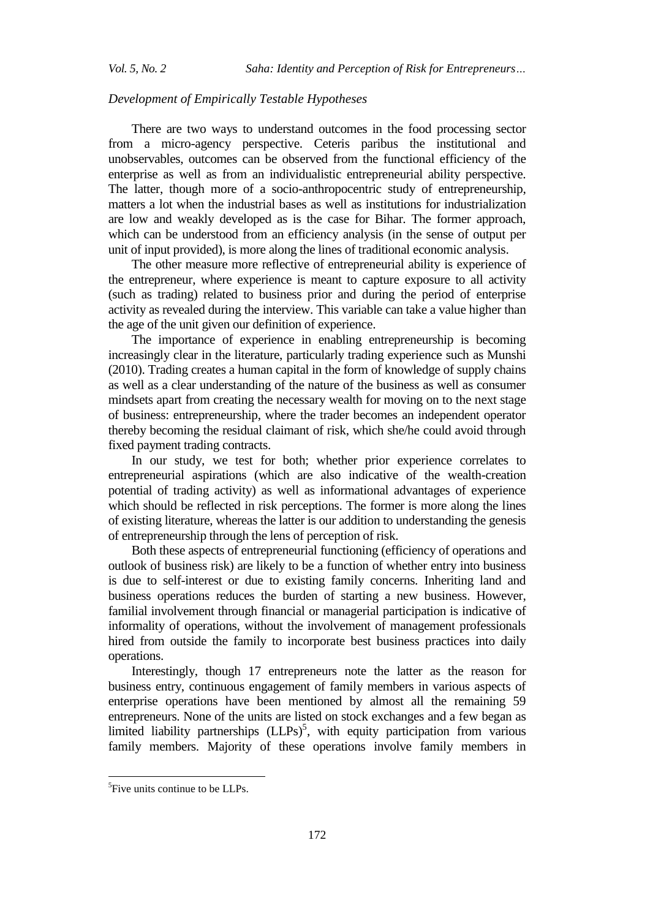#### *Development of Empirically Testable Hypotheses*

There are two ways to understand outcomes in the food processing sector from a micro-agency perspective. Ceteris paribus the institutional and unobservables, outcomes can be observed from the functional efficiency of the enterprise as well as from an individualistic entrepreneurial ability perspective. The latter, though more of a socio-anthropocentric study of entrepreneurship, matters a lot when the industrial bases as well as institutions for industrialization are low and weakly developed as is the case for Bihar. The former approach, which can be understood from an efficiency analysis (in the sense of output per unit of input provided), is more along the lines of traditional economic analysis.

The other measure more reflective of entrepreneurial ability is experience of the entrepreneur, where experience is meant to capture exposure to all activity (such as trading) related to business prior and during the period of enterprise activity as revealed during the interview. This variable can take a value higher than the age of the unit given our definition of experience.

The importance of experience in enabling entrepreneurship is becoming increasingly clear in the literature, particularly trading experience such as Munshi (2010). Trading creates a human capital in the form of knowledge of supply chains as well as a clear understanding of the nature of the business as well as consumer mindsets apart from creating the necessary wealth for moving on to the next stage of business: entrepreneurship, where the trader becomes an independent operator thereby becoming the residual claimant of risk, which she/he could avoid through fixed payment trading contracts.

In our study, we test for both; whether prior experience correlates to entrepreneurial aspirations (which are also indicative of the wealth-creation potential of trading activity) as well as informational advantages of experience which should be reflected in risk perceptions. The former is more along the lines of existing literature, whereas the latter is our addition to understanding the genesis of entrepreneurship through the lens of perception of risk.

Both these aspects of entrepreneurial functioning (efficiency of operations and outlook of business risk) are likely to be a function of whether entry into business is due to self-interest or due to existing family concerns. Inheriting land and business operations reduces the burden of starting a new business. However, familial involvement through financial or managerial participation is indicative of informality of operations, without the involvement of management professionals hired from outside the family to incorporate best business practices into daily operations.

Interestingly, though 17 entrepreneurs note the latter as the reason for business entry, continuous engagement of family members in various aspects of enterprise operations have been mentioned by almost all the remaining 59 entrepreneurs. None of the units are listed on stock exchanges and a few began as limited liability partnerships  $(LLPs)^5$ , with equity participation from various family members. Majority of these operations involve family members in

 $\overline{a}$ 

<sup>&</sup>lt;sup>5</sup>Five units continue to be LLPs.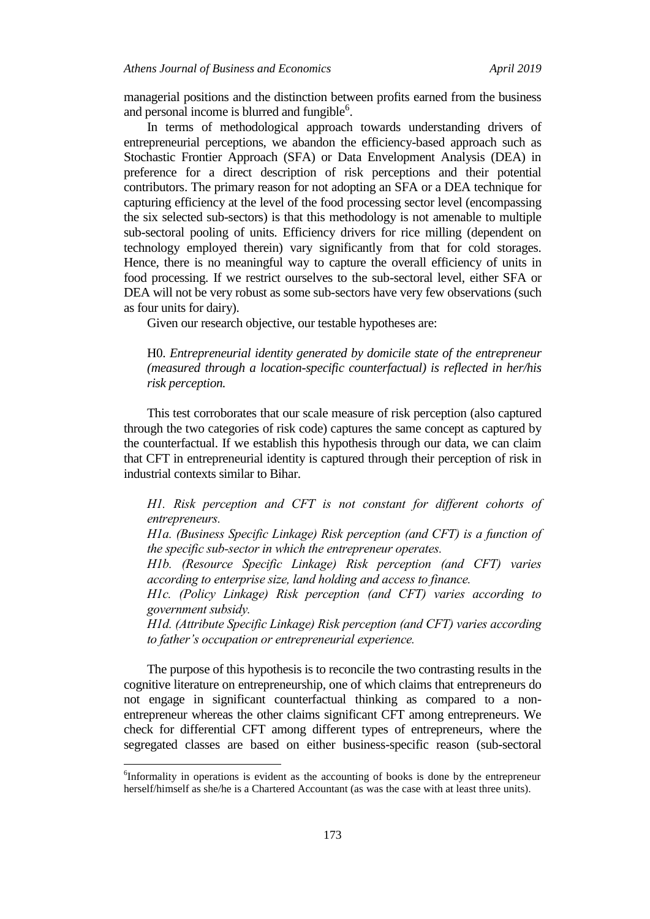managerial positions and the distinction between profits earned from the business and personal income is blurred and fungible<sup>6</sup>.

In terms of methodological approach towards understanding drivers of entrepreneurial perceptions, we abandon the efficiency-based approach such as Stochastic Frontier Approach (SFA) or Data Envelopment Analysis (DEA) in preference for a direct description of risk perceptions and their potential contributors. The primary reason for not adopting an SFA or a DEA technique for capturing efficiency at the level of the food processing sector level (encompassing the six selected sub-sectors) is that this methodology is not amenable to multiple sub-sectoral pooling of units. Efficiency drivers for rice milling (dependent on technology employed therein) vary significantly from that for cold storages. Hence, there is no meaningful way to capture the overall efficiency of units in food processing. If we restrict ourselves to the sub-sectoral level, either SFA or DEA will not be very robust as some sub-sectors have very few observations (such as four units for dairy).

Given our research objective, our testable hypotheses are:

H0. *Entrepreneurial identity generated by domicile state of the entrepreneur (measured through a location-specific counterfactual) is reflected in her/his risk perception.*

This test corroborates that our scale measure of risk perception (also captured through the two categories of risk code) captures the same concept as captured by the counterfactual. If we establish this hypothesis through our data, we can claim that CFT in entrepreneurial identity is captured through their perception of risk in industrial contexts similar to Bihar.

*H1. Risk perception and CFT is not constant for different cohorts of entrepreneurs.*

*H1a. (Business Specific Linkage) Risk perception (and CFT) is a function of the specific sub-sector in which the entrepreneur operates.*

*H1b. (Resource Specific Linkage) Risk perception (and CFT) varies according to enterprise size, land holding and access to finance.*

*H1c. (Policy Linkage) Risk perception (and CFT) varies according to government subsidy.*

*H1d. (Attribute Specific Linkage) Risk perception (and CFT) varies according to father's occupation or entrepreneurial experience.*

The purpose of this hypothesis is to reconcile the two contrasting results in the cognitive literature on entrepreneurship, one of which claims that entrepreneurs do not engage in significant counterfactual thinking as compared to a nonentrepreneur whereas the other claims significant CFT among entrepreneurs. We check for differential CFT among different types of entrepreneurs, where the segregated classes are based on either business-specific reason (sub-sectoral

l

<sup>&</sup>lt;sup>6</sup>Informality in operations is evident as the accounting of books is done by the entrepreneur herself/himself as she/he is a Chartered Accountant (as was the case with at least three units).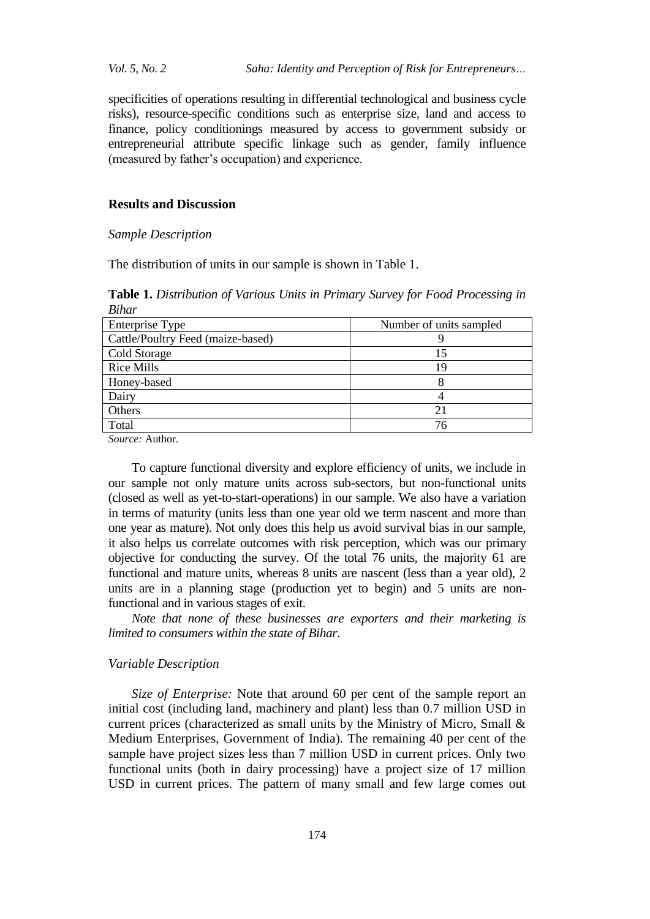*Vol. 5, No. 2 Saha: Identity and Perception of Risk for Entrepreneurs…*

specificities of operations resulting in differential technological and business cycle risks), resource-specific conditions such as enterprise size, land and access to finance, policy conditionings measured by access to government subsidy or entrepreneurial attribute specific linkage such as gender, family influence (measured by father"s occupation) and experience.

## **Results and Discussion**

## *Sample Description*

The distribution of units in our sample is shown in Table 1.

**Table 1.** *Distribution of Various Units in Primary Survey for Food Processing in Bihar*

| <b>Enterprise Type</b>            | Number of units sampled |
|-----------------------------------|-------------------------|
| Cattle/Poultry Feed (maize-based) |                         |
| Cold Storage                      |                         |
| <b>Rice Mills</b>                 | 1 C                     |
| Honey-based                       |                         |
| Dairy                             |                         |
| Others                            |                         |
| Total                             | 76                      |

*Source:* Author*.*

To capture functional diversity and explore efficiency of units, we include in our sample not only mature units across sub-sectors, but non-functional units (closed as well as yet-to-start-operations) in our sample. We also have a variation in terms of maturity (units less than one year old we term nascent and more than one year as mature). Not only does this help us avoid survival bias in our sample, it also helps us correlate outcomes with risk perception, which was our primary objective for conducting the survey. Of the total 76 units, the majority 61 are functional and mature units, whereas 8 units are nascent (less than a year old), 2 units are in a planning stage (production yet to begin) and 5 units are nonfunctional and in various stages of exit.

*Note that none of these businesses are exporters and their marketing is limited to consumers within the state of Bihar.*

## *Variable Description*

*Size of Enterprise:* Note that around 60 per cent of the sample report an initial cost (including land, machinery and plant) less than 0.7 million USD in current prices (characterized as small units by the Ministry of Micro, Small & Medium Enterprises, Government of India). The remaining 40 per cent of the sample have project sizes less than 7 million USD in current prices. Only two functional units (both in dairy processing) have a project size of 17 million USD in current prices. The pattern of many small and few large comes out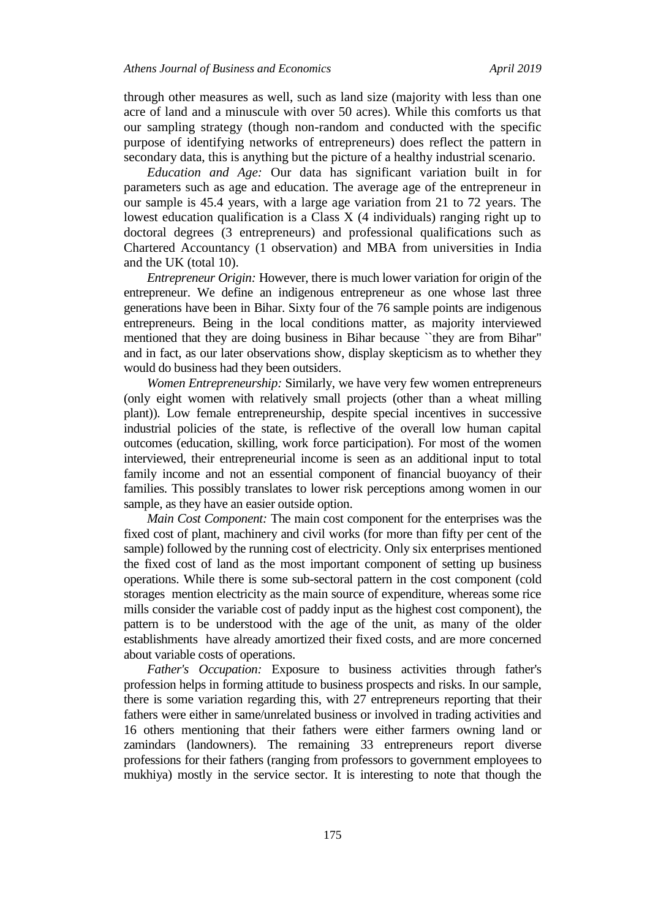through other measures as well, such as land size (majority with less than one acre of land and a minuscule with over 50 acres). While this comforts us that our sampling strategy (though non-random and conducted with the specific purpose of identifying networks of entrepreneurs) does reflect the pattern in secondary data, this is anything but the picture of a healthy industrial scenario.

*Education and Age:* Our data has significant variation built in for parameters such as age and education. The average age of the entrepreneur in our sample is 45.4 years, with a large age variation from 21 to 72 years. The lowest education qualification is a Class X (4 individuals) ranging right up to doctoral degrees (3 entrepreneurs) and professional qualifications such as Chartered Accountancy (1 observation) and MBA from universities in India and the UK (total 10).

*Entrepreneur Origin:* However, there is much lower variation for origin of the entrepreneur. We define an indigenous entrepreneur as one whose last three generations have been in Bihar. Sixty four of the 76 sample points are indigenous entrepreneurs. Being in the local conditions matter, as majority interviewed mentioned that they are doing business in Bihar because ``they are from Bihar" and in fact, as our later observations show, display skepticism as to whether they would do business had they been outsiders.

*Women Entrepreneurship:* Similarly, we have very few women entrepreneurs (only eight women with relatively small projects (other than a wheat milling plant)). Low female entrepreneurship, despite special incentives in successive industrial policies of the state, is reflective of the overall low human capital outcomes (education, skilling, work force participation). For most of the women interviewed, their entrepreneurial income is seen as an additional input to total family income and not an essential component of financial buoyancy of their families. This possibly translates to lower risk perceptions among women in our sample, as they have an easier outside option.

*Main Cost Component:* The main cost component for the enterprises was the fixed cost of plant, machinery and civil works (for more than fifty per cent of the sample) followed by the running cost of electricity. Only six enterprises mentioned the fixed cost of land as the most important component of setting up business operations. While there is some sub-sectoral pattern in the cost component (cold storages mention electricity as the main source of expenditure, whereas some rice mills consider the variable cost of paddy input as the highest cost component), the pattern is to be understood with the age of the unit, as many of the older establishments have already amortized their fixed costs, and are more concerned about variable costs of operations.

*Father's Occupation:* Exposure to business activities through father's profession helps in forming attitude to business prospects and risks. In our sample, there is some variation regarding this, with 27 entrepreneurs reporting that their fathers were either in same/unrelated business or involved in trading activities and 16 others mentioning that their fathers were either farmers owning land or zamindars (landowners). The remaining 33 entrepreneurs report diverse professions for their fathers (ranging from professors to government employees to mukhiya) mostly in the service sector. It is interesting to note that though the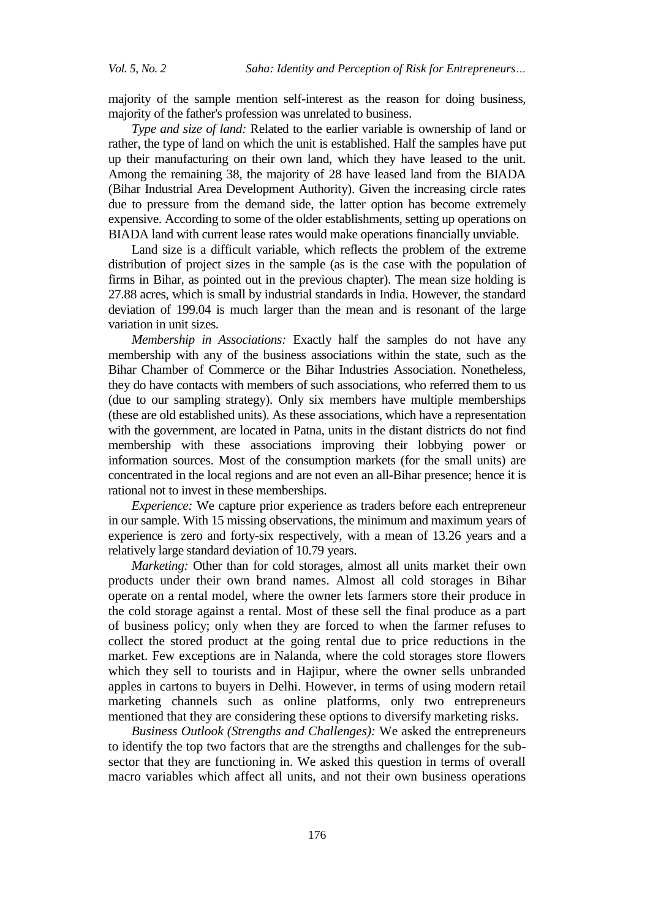majority of the sample mention self-interest as the reason for doing business, majority of the father's profession was unrelated to business.

*Type and size of land:* Related to the earlier variable is ownership of land or rather, the type of land on which the unit is established. Half the samples have put up their manufacturing on their own land, which they have leased to the unit. Among the remaining 38, the majority of 28 have leased land from the BIADA (Bihar Industrial Area Development Authority). Given the increasing circle rates due to pressure from the demand side, the latter option has become extremely expensive. According to some of the older establishments, setting up operations on BIADA land with current lease rates would make operations financially unviable.

Land size is a difficult variable, which reflects the problem of the extreme distribution of project sizes in the sample (as is the case with the population of firms in Bihar, as pointed out in the previous chapter). The mean size holding is 27.88 acres, which is small by industrial standards in India. However, the standard deviation of 199.04 is much larger than the mean and is resonant of the large variation in unit sizes.

*Membership in Associations:* Exactly half the samples do not have any membership with any of the business associations within the state, such as the Bihar Chamber of Commerce or the Bihar Industries Association. Nonetheless, they do have contacts with members of such associations, who referred them to us (due to our sampling strategy). Only six members have multiple memberships (these are old established units). As these associations, which have a representation with the government, are located in Patna, units in the distant districts do not find membership with these associations improving their lobbying power or information sources. Most of the consumption markets (for the small units) are concentrated in the local regions and are not even an all-Bihar presence; hence it is rational not to invest in these memberships.

*Experience:* We capture prior experience as traders before each entrepreneur in our sample. With 15 missing observations, the minimum and maximum years of experience is zero and forty-six respectively, with a mean of 13.26 years and a relatively large standard deviation of 10.79 years.

*Marketing:* Other than for cold storages, almost all units market their own products under their own brand names. Almost all cold storages in Bihar operate on a rental model, where the owner lets farmers store their produce in the cold storage against a rental. Most of these sell the final produce as a part of business policy; only when they are forced to when the farmer refuses to collect the stored product at the going rental due to price reductions in the market. Few exceptions are in Nalanda, where the cold storages store flowers which they sell to tourists and in Hajipur, where the owner sells unbranded apples in cartons to buyers in Delhi. However, in terms of using modern retail marketing channels such as online platforms, only two entrepreneurs mentioned that they are considering these options to diversify marketing risks.

*Business Outlook (Strengths and Challenges):* We asked the entrepreneurs to identify the top two factors that are the strengths and challenges for the subsector that they are functioning in. We asked this question in terms of overall macro variables which affect all units, and not their own business operations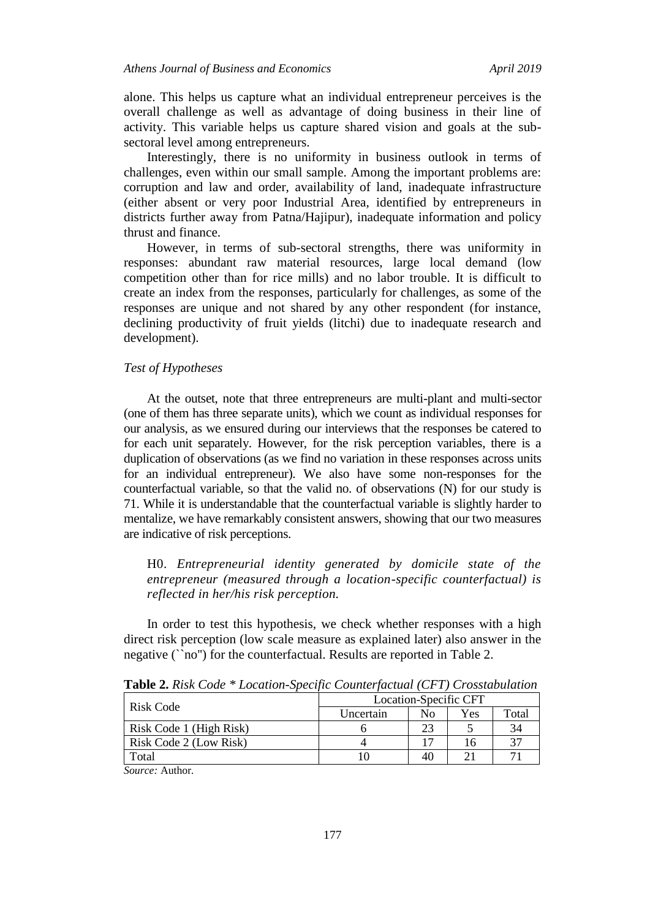alone. This helps us capture what an individual entrepreneur perceives is the overall challenge as well as advantage of doing business in their line of activity. This variable helps us capture shared vision and goals at the subsectoral level among entrepreneurs.

Interestingly, there is no uniformity in business outlook in terms of challenges, even within our small sample. Among the important problems are: corruption and law and order, availability of land, inadequate infrastructure (either absent or very poor Industrial Area, identified by entrepreneurs in districts further away from Patna/Hajipur), inadequate information and policy thrust and finance.

However, in terms of sub-sectoral strengths, there was uniformity in responses: abundant raw material resources, large local demand (low competition other than for rice mills) and no labor trouble. It is difficult to create an index from the responses, particularly for challenges, as some of the responses are unique and not shared by any other respondent (for instance, declining productivity of fruit yields (litchi) due to inadequate research and development).

## *Test of Hypotheses*

At the outset, note that three entrepreneurs are multi-plant and multi-sector (one of them has three separate units), which we count as individual responses for our analysis, as we ensured during our interviews that the responses be catered to for each unit separately. However, for the risk perception variables, there is a duplication of observations (as we find no variation in these responses across units for an individual entrepreneur). We also have some non-responses for the counterfactual variable, so that the valid no. of observations (N) for our study is 71. While it is understandable that the counterfactual variable is slightly harder to mentalize, we have remarkably consistent answers, showing that our two measures are indicative of risk perceptions.

H0. *Entrepreneurial identity generated by domicile state of the entrepreneur (measured through a location-specific counterfactual) is reflected in her/his risk perception.*

In order to test this hypothesis, we check whether responses with a high direct risk perception (low scale measure as explained later) also answer in the negative (``no'') for the counterfactual. Results are reported in Table 2.

| Risk Code               |           | Location-Specific CFT |     |        |
|-------------------------|-----------|-----------------------|-----|--------|
|                         | Uncertain | No                    | Yes | Total  |
| Risk Code 1 (High Risk) |           | 23                    |     | 34     |
| Risk Code 2 (Low Risk)  |           |                       | I6  | 37     |
| Total                   |           | 40                    |     | $\tau$ |

**Table 2.** *Risk Code \* Location-Specific Counterfactual (CFT) Crosstabulation*

*Source:* Author*.*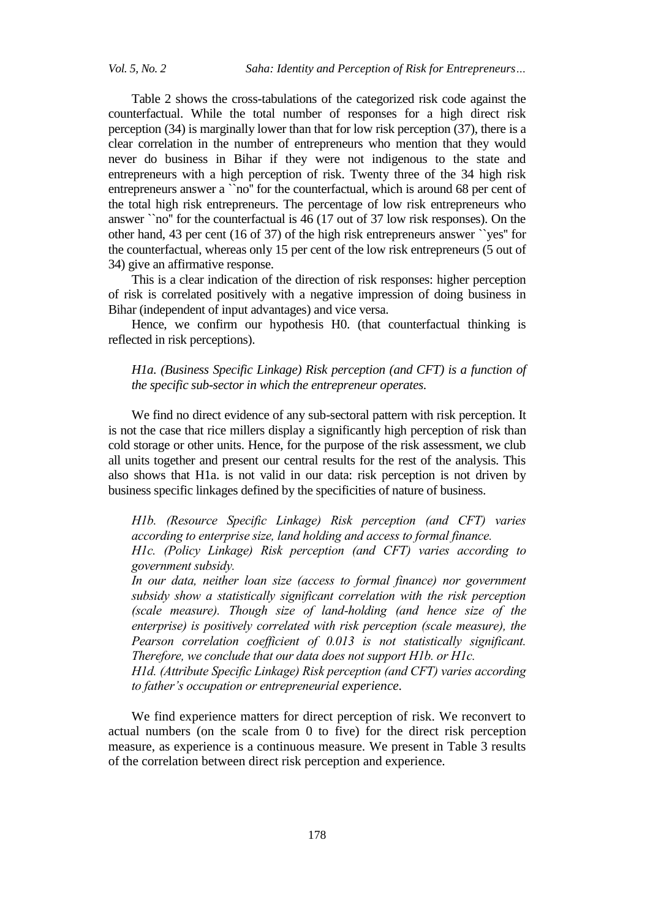Table 2 shows the cross-tabulations of the categorized risk code against the counterfactual. While the total number of responses for a high direct risk perception (34) is marginally lower than that for low risk perception (37), there is a clear correlation in the number of entrepreneurs who mention that they would never do business in Bihar if they were not indigenous to the state and entrepreneurs with a high perception of risk. Twenty three of the 34 high risk entrepreneurs answer a ``no'' for the counterfactual, which is around 68 per cent of the total high risk entrepreneurs. The percentage of low risk entrepreneurs who answer ``no'' for the counterfactual is 46 (17 out of 37 low risk responses). On the other hand, 43 per cent (16 of 37) of the high risk entrepreneurs answer ``yes'' for the counterfactual, whereas only 15 per cent of the low risk entrepreneurs (5 out of 34) give an affirmative response.

This is a clear indication of the direction of risk responses: higher perception of risk is correlated positively with a negative impression of doing business in Bihar (independent of input advantages) and vice versa.

Hence, we confirm our hypothesis H0. (that counterfactual thinking is reflected in risk perceptions).

*H1a. (Business Specific Linkage) Risk perception (and CFT) is a function of the specific sub-sector in which the entrepreneur operates.*

We find no direct evidence of any sub-sectoral pattern with risk perception. It is not the case that rice millers display a significantly high perception of risk than cold storage or other units. Hence, for the purpose of the risk assessment, we club all units together and present our central results for the rest of the analysis. This also shows that H1a. is not valid in our data: risk perception is not driven by business specific linkages defined by the specificities of nature of business.

*H1b. (Resource Specific Linkage) Risk perception (and CFT) varies according to enterprise size, land holding and access to formal finance.*

*H1c. (Policy Linkage) Risk perception (and CFT) varies according to government subsidy.*

*In our data, neither loan size (access to formal finance) nor government subsidy show a statistically significant correlation with the risk perception (scale measure). Though size of land-holding (and hence size of the enterprise) is positively correlated with risk perception (scale measure), the Pearson correlation coefficient of 0.013 is not statistically significant. Therefore, we conclude that our data does not support H1b. or H1c.* 

*H1d. (Attribute Specific Linkage) Risk perception (and CFT) varies according to father's occupation or entrepreneurial experience.*

We find experience matters for direct perception of risk. We reconvert to actual numbers (on the scale from 0 to five) for the direct risk perception measure, as experience is a continuous measure. We present in Table 3 results of the correlation between direct risk perception and experience.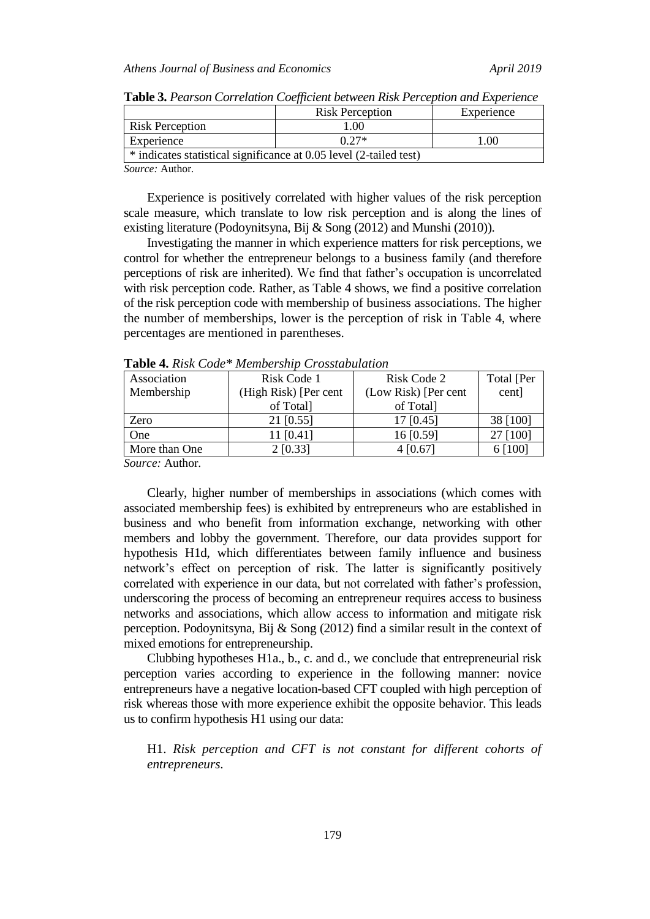|                                                                    | <b>Risk Perception</b> | Experience |  |
|--------------------------------------------------------------------|------------------------|------------|--|
| <b>Risk Perception</b>                                             | 1.00                   |            |  |
| Experience                                                         | $0.27*$                | .00        |  |
| * indicates statistical significance at 0.05 level (2-tailed test) |                        |            |  |

**Table 3.** *Pearson Correlation Coefficient between Risk Perception and Experience*

*Source:* Author*.*

Experience is positively correlated with higher values of the risk perception scale measure, which translate to low risk perception and is along the lines of existing literature (Podoynitsyna, Bij & Song (2012) and Munshi (2010)).

Investigating the manner in which experience matters for risk perceptions, we control for whether the entrepreneur belongs to a business family (and therefore perceptions of risk are inherited). We find that father"s occupation is uncorrelated with risk perception code. Rather, as Table 4 shows, we find a positive correlation of the risk perception code with membership of business associations. The higher the number of memberships, lower is the perception of risk in Table 4, where percentages are mentioned in parentheses.

| Association   | Risk Code 1           | Risk Code 2          | Total [Per |
|---------------|-----------------------|----------------------|------------|
| Membership    | (High Risk) [Per cent | (Low Risk) [Per cent | cent]      |
|               | of Total              | of Total             |            |
| Zero          | 21 [0.55]             | $17$ [0.45]          | 38 [100]   |
| One           | 11 [0.41]             | 16 [0.59]            | 27 [100]   |
| More than One | $2$ [0.33]            | 4 [0.67]             | [100]      |
| .             |                       |                      |            |

**Table 4.** *Risk Code\* Membership Crosstabulation*

*Source:* Author*.*

Clearly, higher number of memberships in associations (which comes with associated membership fees) is exhibited by entrepreneurs who are established in business and who benefit from information exchange, networking with other members and lobby the government. Therefore, our data provides support for hypothesis H1d, which differentiates between family influence and business network"s effect on perception of risk. The latter is significantly positively correlated with experience in our data, but not correlated with father"s profession, underscoring the process of becoming an entrepreneur requires access to business networks and associations, which allow access to information and mitigate risk perception. Podoynitsyna, Bij & Song (2012) find a similar result in the context of mixed emotions for entrepreneurship.

Clubbing hypotheses H1a., b., c. and d., we conclude that entrepreneurial risk perception varies according to experience in the following manner: novice entrepreneurs have a negative location-based CFT coupled with high perception of risk whereas those with more experience exhibit the opposite behavior. This leads us to confirm hypothesis H1 using our data:

H1. *Risk perception and CFT is not constant for different cohorts of entrepreneurs.*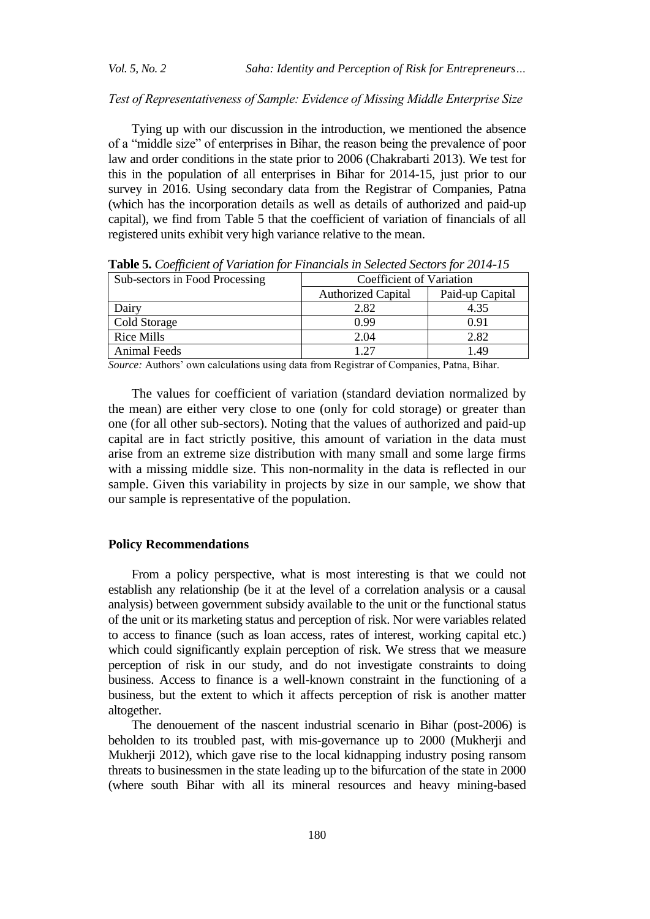#### *Test of Representativeness of Sample: Evidence of Missing Middle Enterprise Size*

Tying up with our discussion in the introduction, we mentioned the absence of a "middle size" of enterprises in Bihar, the reason being the prevalence of poor law and order conditions in the state prior to 2006 (Chakrabarti 2013). We test for this in the population of all enterprises in Bihar for 2014-15, just prior to our survey in 2016. Using secondary data from the Registrar of Companies, Patna (which has the incorporation details as well as details of authorized and paid-up capital), we find from Table 5 that the coefficient of variation of financials of all registered units exhibit very high variance relative to the mean.

| Sub-sectors in Food Processing | Coefficient of Variation  |                 |
|--------------------------------|---------------------------|-----------------|
|                                | <b>Authorized Capital</b> | Paid-up Capital |
| Dairv                          | 2.82                      | 4.35            |
| Cold Storage                   | 0.99                      | 0.91            |
| <b>Rice Mills</b>              | 2.04                      | 2.82            |
| <b>Animal Feeds</b>            | - 27                      | - 49            |

**Table 5.** *Coefficient of Variation for Financials in Selected Sectors for 2014-15*

*Source:* Authors" own calculations using data from Registrar of Companies, Patna, Bihar.

The values for coefficient of variation (standard deviation normalized by the mean) are either very close to one (only for cold storage) or greater than one (for all other sub-sectors). Noting that the values of authorized and paid-up capital are in fact strictly positive, this amount of variation in the data must arise from an extreme size distribution with many small and some large firms with a missing middle size. This non-normality in the data is reflected in our sample. Given this variability in projects by size in our sample, we show that our sample is representative of the population.

#### **Policy Recommendations**

From a policy perspective, what is most interesting is that we could not establish any relationship (be it at the level of a correlation analysis or a causal analysis) between government subsidy available to the unit or the functional status of the unit or its marketing status and perception of risk. Nor were variables related to access to finance (such as loan access, rates of interest, working capital etc.) which could significantly explain perception of risk. We stress that we measure perception of risk in our study, and do not investigate constraints to doing business. Access to finance is a well-known constraint in the functioning of a business, but the extent to which it affects perception of risk is another matter altogether.

The denouement of the nascent industrial scenario in Bihar (post-2006) is beholden to its troubled past, with mis-governance up to 2000 (Mukherji and Mukherji 2012), which gave rise to the local kidnapping industry posing ransom threats to businessmen in the state leading up to the bifurcation of the state in 2000 (where south Bihar with all its mineral resources and heavy mining-based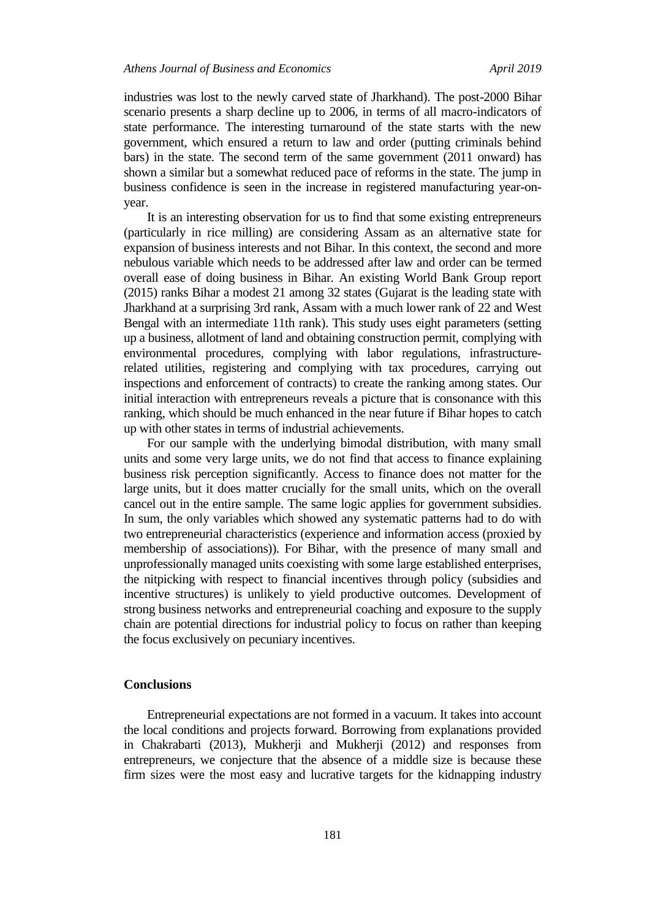industries was lost to the newly carved state of Jharkhand). The post-2000 Bihar scenario presents a sharp decline up to 2006, in terms of all macro-indicators of state performance. The interesting turnaround of the state starts with the new government, which ensured a return to law and order (putting criminals behind bars) in the state. The second term of the same government (2011 onward) has shown a similar but a somewhat reduced pace of reforms in the state. The jump in business confidence is seen in the increase in registered manufacturing year-onyear.

It is an interesting observation for us to find that some existing entrepreneurs (particularly in rice milling) are considering Assam as an alternative state for expansion of business interests and not Bihar. In this context, the second and more nebulous variable which needs to be addressed after law and order can be termed overall ease of doing business in Bihar. An existing World Bank Group report (2015) ranks Bihar a modest 21 among 32 states (Gujarat is the leading state with Jharkhand at a surprising 3rd rank, Assam with a much lower rank of 22 and West Bengal with an intermediate 11th rank). This study uses eight parameters (setting up a business, allotment of land and obtaining construction permit, complying with environmental procedures, complying with labor regulations, infrastructurerelated utilities, registering and complying with tax procedures, carrying out inspections and enforcement of contracts) to create the ranking among states. Our initial interaction with entrepreneurs reveals a picture that is consonance with this ranking, which should be much enhanced in the near future if Bihar hopes to catch up with other states in terms of industrial achievements.

For our sample with the underlying bimodal distribution, with many small units and some very large units, we do not find that access to finance explaining business risk perception significantly. Access to finance does not matter for the large units, but it does matter crucially for the small units, which on the overall cancel out in the entire sample. The same logic applies for government subsidies. In sum, the only variables which showed any systematic patterns had to do with two entrepreneurial characteristics (experience and information access (proxied by membership of associations)). For Bihar, with the presence of many small and unprofessionally managed units coexisting with some large established enterprises, the nitpicking with respect to financial incentives through policy (subsidies and incentive structures) is unlikely to yield productive outcomes. Development of strong business networks and entrepreneurial coaching and exposure to the supply chain are potential directions for industrial policy to focus on rather than keeping the focus exclusively on pecuniary incentives.

#### **Conclusions**

Entrepreneurial expectations are not formed in a vacuum. It takes into account the local conditions and projects forward. Borrowing from explanations provided in Chakrabarti (2013), Mukherji and Mukherji (2012) and responses from entrepreneurs, we conjecture that the absence of a middle size is because these firm sizes were the most easy and lucrative targets for the kidnapping industry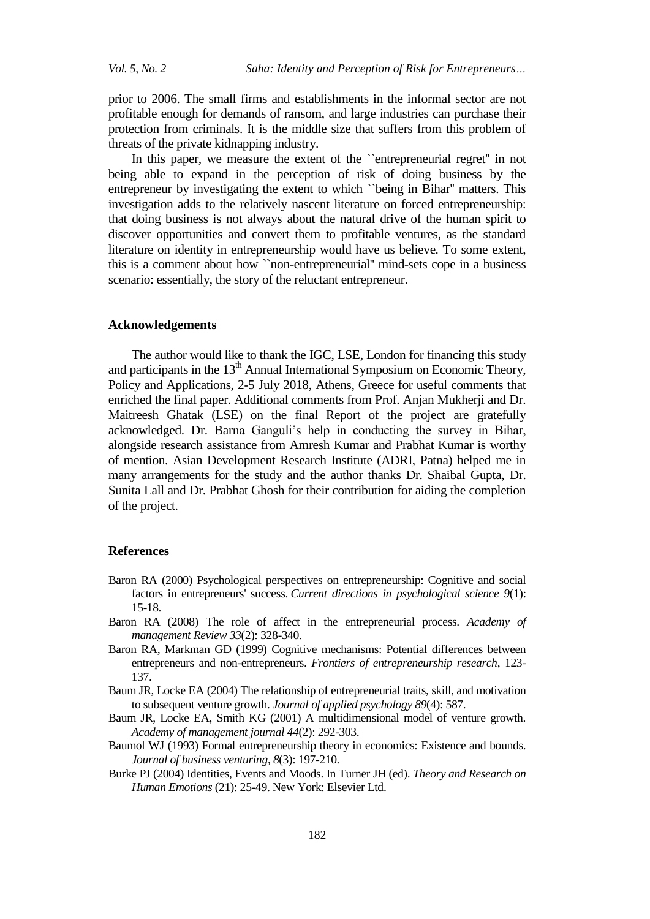prior to 2006. The small firms and establishments in the informal sector are not profitable enough for demands of ransom, and large industries can purchase their protection from criminals. It is the middle size that suffers from this problem of threats of the private kidnapping industry.

In this paper, we measure the extent of the ``entrepreneurial regret'' in not being able to expand in the perception of risk of doing business by the entrepreneur by investigating the extent to which ``being in Bihar'' matters. This investigation adds to the relatively nascent literature on forced entrepreneurship: that doing business is not always about the natural drive of the human spirit to discover opportunities and convert them to profitable ventures, as the standard literature on identity in entrepreneurship would have us believe. To some extent, this is a comment about how ``non-entrepreneurial'' mind-sets cope in a business scenario: essentially, the story of the reluctant entrepreneur.

#### **Acknowledgements**

The author would like to thank the IGC, LSE, London for financing this study and participants in the  $13<sup>th</sup>$  Annual International Symposium on Economic Theory, Policy and Applications, 2-5 July 2018, Athens, Greece for useful comments that enriched the final paper. Additional comments from Prof. Anjan Mukherji and Dr. Maitreesh Ghatak (LSE) on the final Report of the project are gratefully acknowledged. Dr. Barna Ganguli's help in conducting the survey in Bihar, alongside research assistance from Amresh Kumar and Prabhat Kumar is worthy of mention. Asian Development Research Institute (ADRI, Patna) helped me in many arrangements for the study and the author thanks Dr. Shaibal Gupta, Dr. Sunita Lall and Dr. Prabhat Ghosh for their contribution for aiding the completion of the project.

#### **References**

- Baron RA (2000) Psychological perspectives on entrepreneurship: Cognitive and social factors in entrepreneurs' success. *Current directions in psychological science 9*(1): 15-18.
- Baron RA (2008) The role of affect in the entrepreneurial process. *Academy of management Review 33*(2): 328-340.
- Baron RA, Markman GD (1999) Cognitive mechanisms: Potential differences between entrepreneurs and non-entrepreneurs. *Frontiers of entrepreneurship research*, 123- 137.
- Baum JR, Locke EA (2004) The relationship of entrepreneurial traits, skill, and motivation to subsequent venture growth. *Journal of applied psychology 89*(4): 587.
- Baum JR, Locke EA, Smith KG (2001) A multidimensional model of venture growth. *Academy of management journal 44*(2): 292-303.
- Baumol WJ (1993) Formal entrepreneurship theory in economics: Existence and bounds. *Journal of business venturing*, *8*(3): 197-210.
- Burke PJ (2004) Identities, Events and Moods. In Turner JH (ed). *Theory and Research on Human Emotions* (21): 25-49. New York: Elsevier Ltd.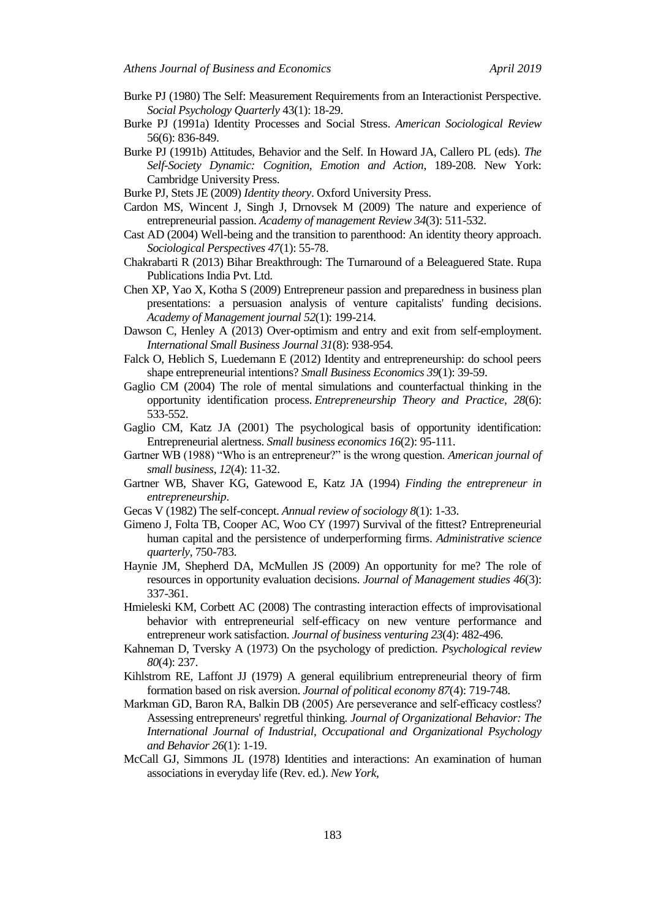- Burke PJ (1980) The Self: Measurement Requirements from an Interactionist Perspective. *Social Psychology Quarterly* 43(1): 18-29.
- Burke PJ (1991a) Identity Processes and Social Stress. *American Sociological Review*  56(6): 836-849.
- Burke PJ (1991b) Attitudes, Behavior and the Self. In Howard JA, Callero PL (eds). *The Self-Society Dynamic: Cognition, Emotion and Action*, 189-208. New York: Cambridge University Press.
- Burke PJ, Stets JE (2009) *Identity theory*. Oxford University Press.
- Cardon MS, Wincent J, Singh J, Drnovsek M (2009) The nature and experience of entrepreneurial passion. *Academy of management Review 34*(3): 511-532.
- Cast AD (2004) Well-being and the transition to parenthood: An identity theory approach. *Sociological Perspectives 47*(1): 55-78.
- Chakrabarti R (2013) Bihar Breakthrough: The Turnaround of a Beleaguered State. Rupa Publications India Pvt. Ltd.
- Chen XP, Yao X, Kotha S (2009) Entrepreneur passion and preparedness in business plan presentations: a persuasion analysis of venture capitalists' funding decisions. *Academy of Management journal 52*(1): 199-214.
- Dawson C, Henley A (2013) Over-optimism and entry and exit from self-employment. *International Small Business Journal 31*(8): 938-954.
- Falck O, Heblich S, Luedemann E (2012) Identity and entrepreneurship: do school peers shape entrepreneurial intentions? *Small Business Economics 39*(1): 39-59.
- Gaglio CM (2004) The role of mental simulations and counterfactual thinking in the opportunity identification process. *Entrepreneurship Theory and Practice*, *28*(6): 533-552.
- Gaglio CM, Katz JA (2001) The psychological basis of opportunity identification: Entrepreneurial alertness. *Small business economics 16*(2): 95-111.
- Gartner WB (1988) "Who is an entrepreneur?" is the wrong question. *American journal of small business*, *12*(4): 11-32.
- Gartner WB, Shaver KG, Gatewood E, Katz JA (1994) *Finding the entrepreneur in entrepreneurship*.
- Gecas V (1982) The self-concept. *Annual review of sociology 8*(1): 1-33.
- Gimeno J, Folta TB, Cooper AC, Woo CY (1997) Survival of the fittest? Entrepreneurial human capital and the persistence of underperforming firms. *Administrative science quarterly*, 750-783.
- Haynie JM, Shepherd DA, McMullen JS (2009) An opportunity for me? The role of resources in opportunity evaluation decisions. *Journal of Management studies 46*(3): 337-361.
- Hmieleski KM, Corbett AC (2008) The contrasting interaction effects of improvisational behavior with entrepreneurial self-efficacy on new venture performance and entrepreneur work satisfaction. *Journal of business venturing 23*(4): 482-496.
- Kahneman D, Tversky A (1973) On the psychology of prediction. *Psychological review 80*(4): 237.
- Kihlstrom RE, Laffont JJ (1979) A general equilibrium entrepreneurial theory of firm formation based on risk aversion. *Journal of political economy 87*(4): 719-748.
- Markman GD, Baron RA, Balkin DB (2005) Are perseverance and self-efficacy costless? Assessing entrepreneurs' regretful thinking. *Journal of Organizational Behavior: The International Journal of Industrial, Occupational and Organizational Psychology and Behavior 26*(1): 1-19.
- McCall GJ, Simmons JL (1978) Identities and interactions: An examination of human associations in everyday life (Rev. ed.). *New York,*